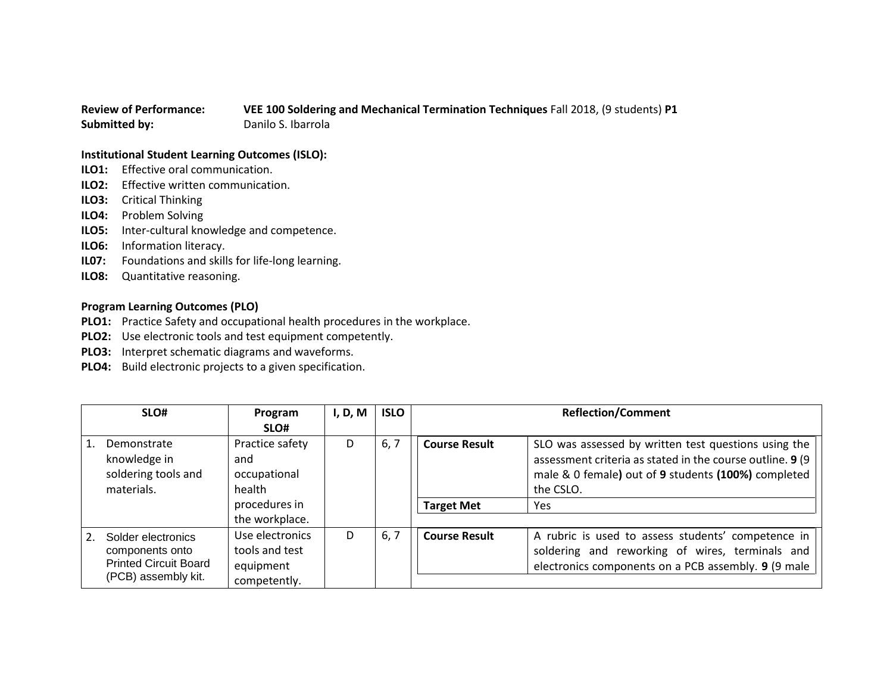## **Review of Performance: VEE 100 Soldering and Mechanical Termination Techniques** Fall 2018, (9 students) **P1 Submitted by:** Danilo S. Ibarrola

## **Institutional Student Learning Outcomes (ISLO):**

- **ILO1:** Effective oral communication.
- **ILO2:** Effective written communication.
- **ILO3:** Critical Thinking
- **ILO4:** Problem Solving
- **ILO5:** Inter-cultural knowledge and competence.
- **ILO6:** Information literacy.
- **IL07:** Foundations and skills for life-long learning.
- **ILO8:** Quantitative reasoning.

## **Program Learning Outcomes (PLO)**

- **PLO1:** Practice Safety and occupational health procedures in the workplace.
- **PLO2:** Use electronic tools and test equipment competently.
- **PLO3:** Interpret schematic diagrams and waveforms.
- **PLO4:** Build electronic projects to a given specification.

|         | SLO#                                                                                         | Program<br>SLO#                                                   | I, D, M | <b>ISLO</b> |                                           | <b>Reflection/Comment</b>                                                                                                                                                                    |
|---------|----------------------------------------------------------------------------------------------|-------------------------------------------------------------------|---------|-------------|-------------------------------------------|----------------------------------------------------------------------------------------------------------------------------------------------------------------------------------------------|
| 1.      | Demonstrate<br>knowledge in<br>soldering tools and<br>materials.                             | Practice safety<br>and<br>occupational<br>health<br>procedures in | D       | 6, 7        | <b>Course Result</b><br><b>Target Met</b> | SLO was assessed by written test questions using the<br>assessment criteria as stated in the course outline. 9 (9<br>male & 0 female) out of 9 students (100%) completed<br>the CSLO.<br>Yes |
|         |                                                                                              | the workplace.                                                    |         |             |                                           |                                                                                                                                                                                              |
| $2_{1}$ | Solder electronics<br>components onto<br><b>Printed Circuit Board</b><br>(PCB) assembly kit. | Use electronics<br>tools and test<br>equipment<br>competently.    | D       | 6, 7        | <b>Course Result</b>                      | A rubric is used to assess students' competence in<br>soldering and reworking of wires, terminals and<br>electronics components on a PCB assembly. 9 (9 male                                 |